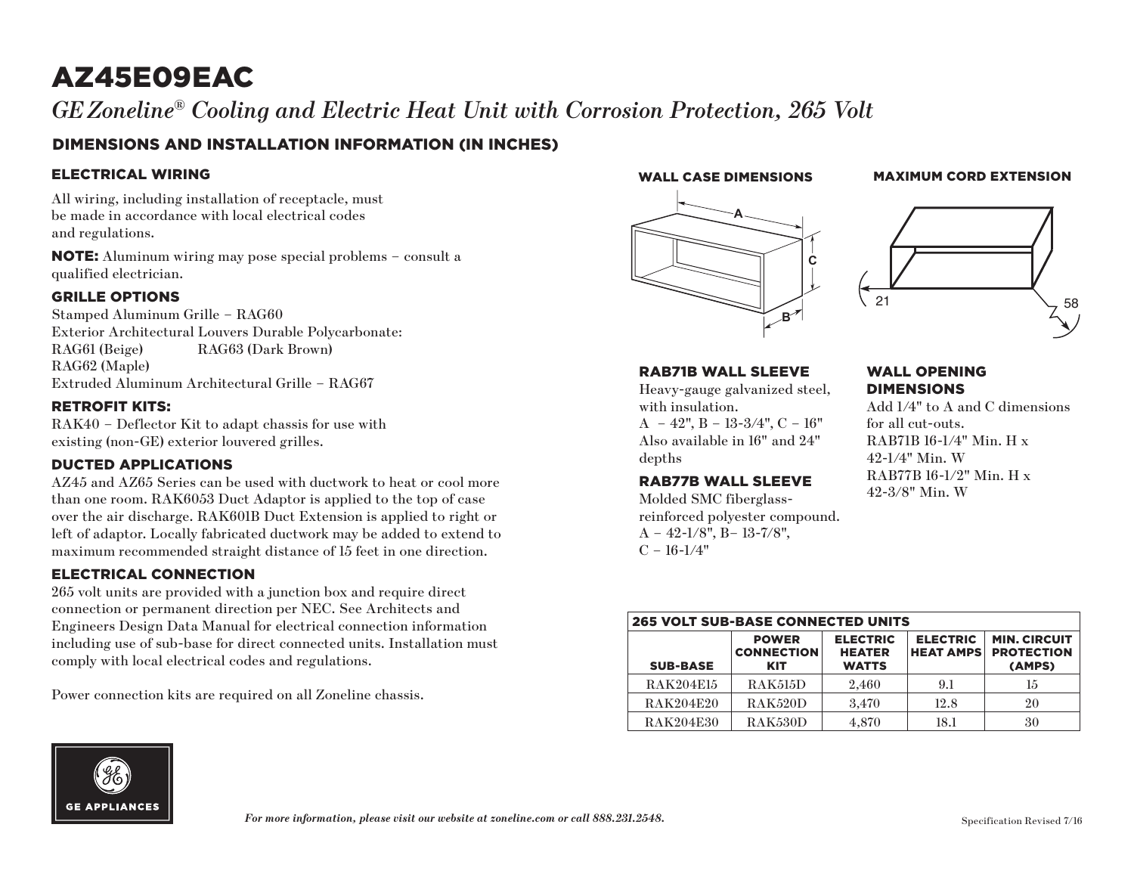# AZ45E09EAC

 $G\!E\,Z$ oneline® Cooling and Electric Heat Unit with Corrosion Protection, 265 Volt zone e community e com

# DIMENSIONS AND INSTALLATION INFORMATION (IN INCHES)

### ELECTRICAL WIRING

All wiring, including installation of receptacle, must be made in accordance with local electrical codes and regulations.

NOTE: Aluminum wiring may pose special problems – consult a qualified electrician.

#### GRILLE OPTIONS

Stamped Aluminum Grille – RAG60 Exterior Architectural Louvers Durable Polycarbonate: RAG61 (Beige) RAG63 (Dark Brown) RAG62 (Maple) Extruded Aluminum Architectural Grille – RAG67

### RETROFIT KITS:

RAK40 – Deflector Kit to adapt chassis for use with existing (non-GE) exterior louvered grilles.

# DUCTED APPLICATIONS

AZ45 and AZ65 Series can be used with ductwork to heat or cool more than one room. RAK6053 Duct Adaptor is applied to the top of case over the air discharge. RAK601B Duct Extension is applied to right or left of adaptor. Locally fabricated ductwork may be added to extend to maximum recommended straight distance of 15 feet in one direction.

# ELECTRICAL CONNECTION

265 volt units are provided with a junction box and require direct connection or permanent direction per NEC. See Architects and Engineers Design Data Manual for electrical connection information including use of sub-base for direct connected units. Installation must comply with local electrical codes and regulations.

Power connection kits are required on all Zoneline chassis.

#### WALL CASE DIMENSIONS

# **MAXIMUM CORD EXTENSION**





#### RAB71B WALL SLEEVE

Heavy-gauge galvanized steel, with insulation.  $A - 42$ ",  $B - 13-3/4$ ",  $C - 16$ " Also available in 16" and 24" depths

#### RAB77B WALL SLEEVE

Molded SMC fiberglassreinforced polyester compound.  $A - 42 - 1/8$ ",  $B - 13 - 7/8$ ",  $C - 16 - 1/4"$ 

#### WALL OPENING **DIMENSIONS**

Add 1/4" to A and C dimensions for all cut-outs. RAB71B 16-1/4" Min. H x 42-1/4" Min. W RAB77B 16-1/2" Min. H x 42-3/8" Min. W

| <b>265 VOLT SUB-BASE CONNECTED UNITS</b> |                                                 |                                                  |                                     |                                                    |
|------------------------------------------|-------------------------------------------------|--------------------------------------------------|-------------------------------------|----------------------------------------------------|
| <b>SUB-BASE</b>                          | <b>POWER</b><br><b>CONNECTION</b><br><b>KIT</b> | <b>ELECTRIC</b><br><b>HEATER</b><br><b>WATTS</b> | <b>ELECTRIC</b><br><b>HEAT AMPS</b> | <b>MIN. CIRCUIT</b><br><b>PROTECTION</b><br>(AMPS) |
| <b>RAK204E15</b>                         | <b>RAK515D</b>                                  | 2.460                                            | 9.1                                 | 15                                                 |
| <b>RAK204E20</b>                         | RAK520D                                         | 3.470                                            | 12.8                                | 20                                                 |
| <b>RAK204E30</b>                         | RAK530D                                         | 4.870                                            | 18.1                                | 30                                                 |